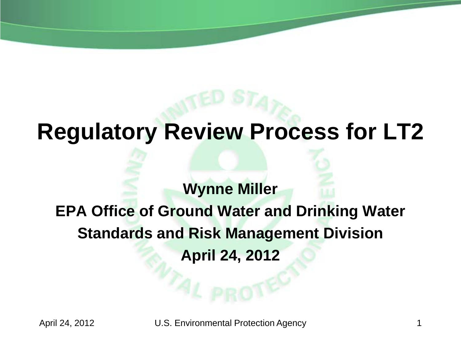## **Regulatory Review Process for LT2**

### **Wynne Miller EPA Office of Ground Water and Drinking Water Standards and Risk Management Division April 24, 2012**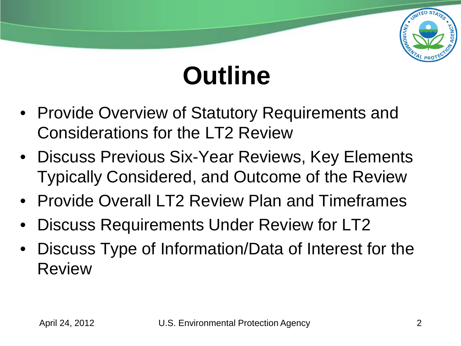

# **Outline**

- Provide Overview of Statutory Requirements and Considerations for the LT2 Review
- Discuss Previous Six-Year Reviews, Key Elements Typically Considered, and Outcome of the Review
- Provide Overall LT2 Review Plan and Timeframes
- Discuss Requirements Under Review for LT2
- Discuss Type of Information/Data of Interest for the Review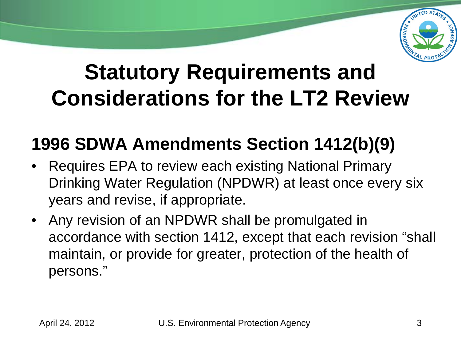

## **Statutory Requirements and Considerations for the LT2 Review**

### **1996 SDWA Amendments Section 1412(b)(9)**

- Requires EPA to review each existing National Primary Drinking Water Regulation (NPDWR) at least once every six years and revise, if appropriate.
- Any revision of an NPDWR shall be promulgated in accordance with section 1412, except that each revision "shall maintain, or provide for greater, protection of the health of persons."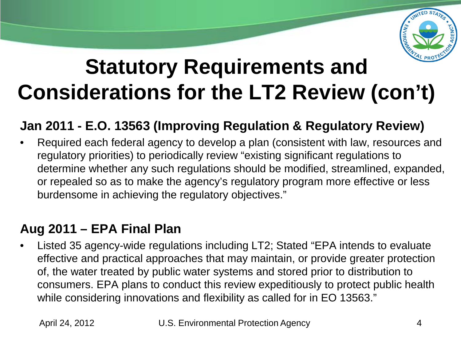

## **Statutory Requirements and Considerations for the LT2 Review (con't)**

#### **Jan 2011 - E.O. 13563 (Improving Regulation & Regulatory Review)**

• Required each federal agency to develop a plan (consistent with law, resources and regulatory priorities) to periodically review "existing significant regulations to determine whether any such regulations should be modified, streamlined, expanded, or repealed so as to make the agency's regulatory program more effective or less burdensome in achieving the regulatory objectives."

#### **Aug 2011 – EPA Final Plan**

• Listed 35 agency-wide regulations including LT2; Stated "EPA intends to evaluate effective and practical approaches that may maintain, or provide greater protection of, the water treated by public water systems and stored prior to distribution to consumers. EPA plans to conduct this review expeditiously to protect public health while considering innovations and flexibility as called for in EO 13563."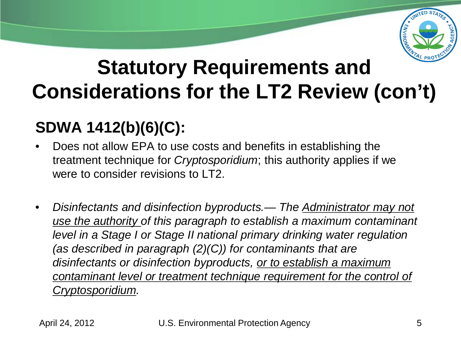

## **Statutory Requirements and Considerations for the LT2 Review (con't)**

### **SDWA 1412(b)(6)(C):**

- Does not allow EPA to use costs and benefits in establishing the treatment technique for *Cryptosporidium*; this authority applies if we were to consider revisions to LT2.
- *Disinfectants and disinfection byproducts.— The Administrator may not use the authority of this paragraph to establish a maximum contaminant level in a Stage I or Stage II national primary drinking water regulation (as described in paragraph (2)(C)) for contaminants that are disinfectants or disinfection byproducts, or to establish a maximum contaminant level or treatment technique requirement for the control of Cryptosporidium.*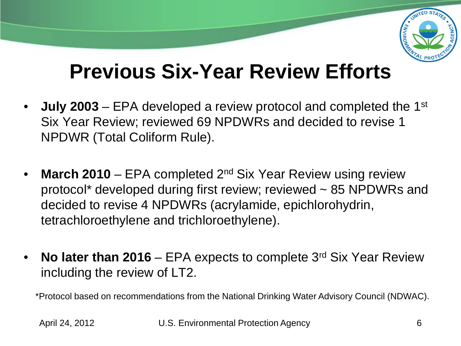

### **Previous Six-Year Review Efforts**

- **July 2003**  EPA developed a review protocol and completed the 1st Six Year Review; reviewed 69 NPDWRs and decided to revise 1 NPDWR (Total Coliform Rule).
- **March 2010** EPA completed 2<sup>nd</sup> Six Year Review using review protocol\* developed during first review; reviewed ~ 85 NPDWRs and decided to revise 4 NPDWRs (acrylamide, epichlorohydrin, tetrachloroethylene and trichloroethylene).
- **No later than 2016**  EPA expects to complete 3rd Six Year Review including the review of LT2.

\*Protocol based on recommendations from the National Drinking Water Advisory Council (NDWAC).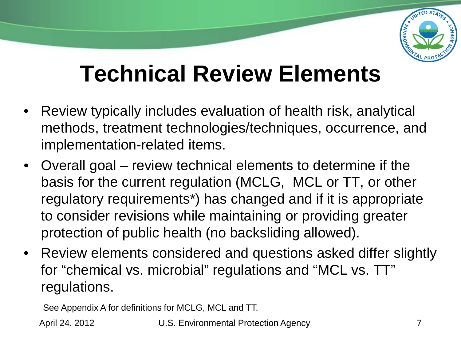

## **Technical Review Elements**

- Review typically includes evaluation of health risk, analytical methods, treatment technologies/techniques, occurrence, and implementation-related items.
- Overall goal review technical elements to determine if the basis for the current regulation (MCLG, MCL or TT, or other regulatory requirements\*) has changed and if it is appropriate to consider revisions while maintaining or providing greater protection of public health (no backsliding allowed).
- Review elements considered and questions asked differ slightly for "chemical vs. microbial" regulations and "MCL vs. TT" regulations.

See Appendix A for definitions for MCLG, MCL and TT.

April 24, 2012 **U.S. Environmental Protection Agency** 7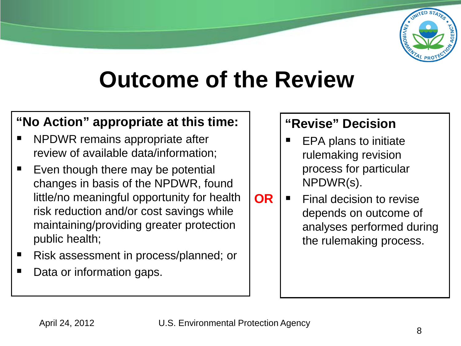

## **Outcome of the Review**

#### **"No Action" appropriate at this time:**

- $\blacksquare$ NPDWR remains appropriate after review of available data/information;
- $\blacksquare$ Even though there may be potential changes in basis of the NPDWR, found little/no meaningful opportunity for health risk reduction and/or cost savings while maintaining/providing greater protection public health;
- $\blacksquare$ Risk assessment in process/planned; or
- $\blacksquare$ Data or information gaps.

#### **"Revise" Decision**

- $\blacksquare$ EPA plans to initiate rulemaking revision process for particular NPDWR(s).
- **OR**  $\blacksquare$ Final decision to revise depends on outcome of analyses performed during the rulemaking process.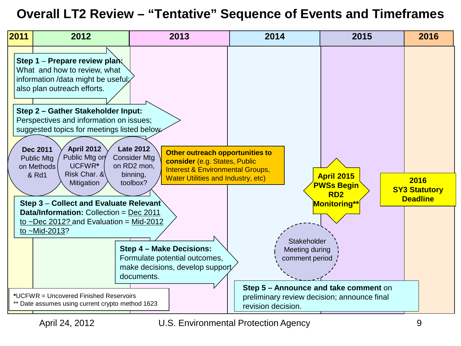#### **Overall LT2 Review – "Tentative" Sequence of Events and Timeframes**

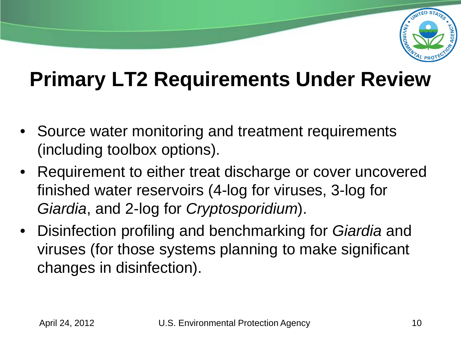

## **Primary LT2 Requirements Under Review**

- Source water monitoring and treatment requirements (including toolbox options).
- Requirement to either treat discharge or cover uncovered finished water reservoirs (4-log for viruses, 3-log for *Giardia*, and 2-log for *Cryptosporidium*).
- Disinfection profiling and benchmarking for *Giardia* and viruses (for those systems planning to make significant changes in disinfection).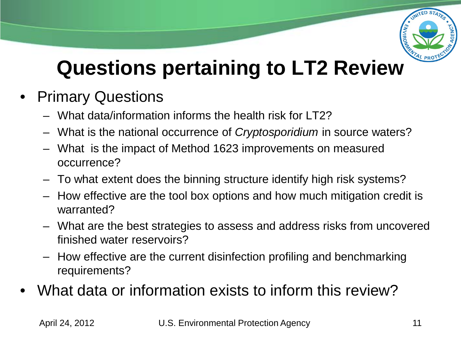

## **Questions pertaining to LT2 Review**

- **Primary Questions** 
	- What data/information informs the health risk for LT2?
	- What is the national occurrence of *Cryptosporidium* in source waters?
	- What is the impact of Method 1623 improvements on measured occurrence?
	- To what extent does the binning structure identify high risk systems?
	- How effective are the tool box options and how much mitigation credit is warranted?
	- What are the best strategies to assess and address risks from uncovered finished water reservoirs?
	- How effective are the current disinfection profiling and benchmarking requirements?
- What data or information exists to inform this review?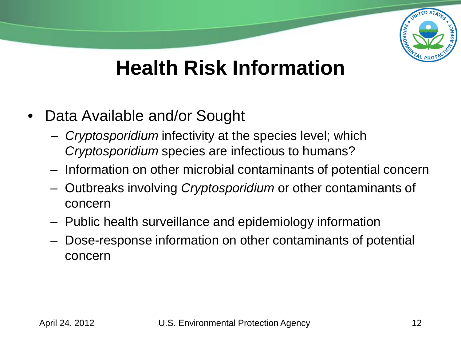

### **Health Risk Information**

- Data Available and/or Sought
	- *Cryptosporidium* infectivity at the species level; which *Cryptosporidium* species are infectious to humans?
	- Information on other microbial contaminants of potential concern
	- Outbreaks involving *Cryptosporidium* or other contaminants of concern
	- Public health surveillance and epidemiology information
	- Dose-response information on other contaminants of potential concern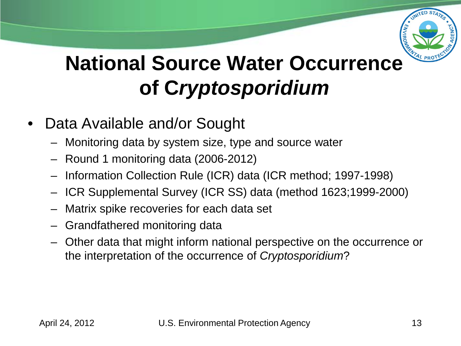

## **National Source Water Occurrence of C***ryptosporidium*

- Data Available and/or Sought
	- Monitoring data by system size, type and source water
	- Round 1 monitoring data (2006-2012)
	- Information Collection Rule (ICR) data (ICR method; 1997-1998)
	- ICR Supplemental Survey (ICR SS) data (method 1623;1999-2000)
	- Matrix spike recoveries for each data set
	- Grandfathered monitoring data
	- Other data that might inform national perspective on the occurrence or the interpretation of the occurrence of *Cryptosporidium*?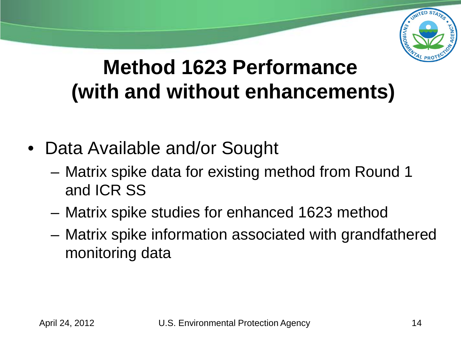

### **Method 1623 Performance (with and without enhancements)**

- Data Available and/or Sought
	- Matrix spike data for existing method from Round 1 and ICR SS
	- Matrix spike studies for enhanced 1623 method
	- Matrix spike information associated with grandfathered monitoring data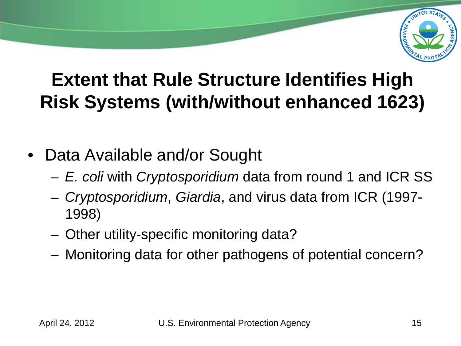

### **Extent that Rule Structure Identifies High Risk Systems (with/without enhanced 1623)**

- Data Available and/or Sought
	- *E. coli* with *Cryptosporidium* data from round 1 and ICR SS
	- *Cryptosporidium*, *Giardia*, and virus data from ICR (1997- 1998)
	- Other utility-specific monitoring data?
	- Monitoring data for other pathogens of potential concern?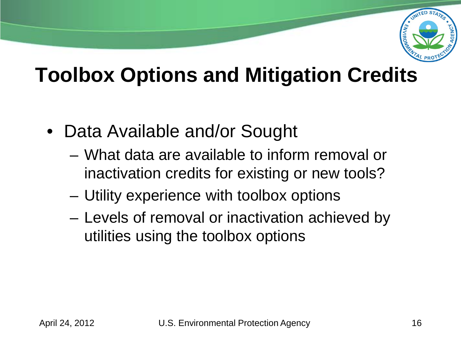

### **Toolbox Options and Mitigation Credits**

- Data Available and/or Sought
	- What data are available to inform removal or inactivation credits for existing or new tools?
	- Utility experience with toolbox options
	- Levels of removal or inactivation achieved by utilities using the toolbox options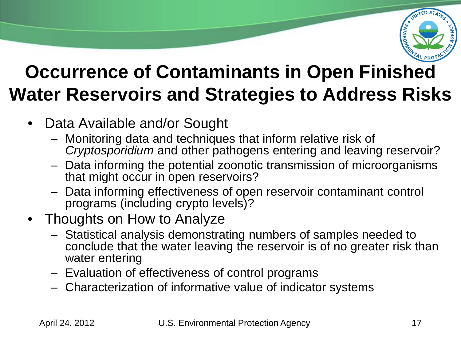

### **Occurrence of Contaminants in Open Finished Water Reservoirs and Strategies to Address Risks**

- Data Available and/or Sought
	- Monitoring data and techniques that inform relative risk of *Cryptosporidium* and other pathogens entering and leaving reservoir?
	- Data informing the potential zoonotic transmission of microorganisms that might occur in open reservoirs?
	- Data informing effectiveness of open reservoir contaminant control programs (including crypto levels)?

#### • Thoughts on How to Analyze

- Statistical analysis demonstrating numbers of samples needed to conclude that the water leaving the reservoir is of no greater risk than water entering
- Evaluation of effectiveness of control programs
- Characterization of informative value of indicator systems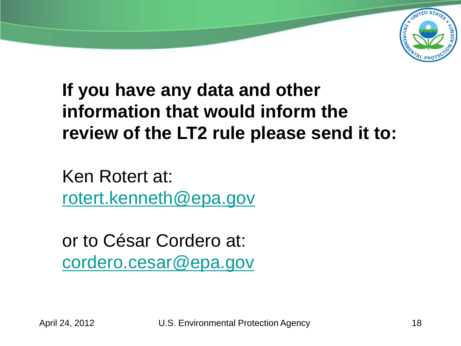

### **If you have any data and other information that would inform the review of the LT2 rule please send it to:**

Ken Rotert at: [rotert.kenneth@epa.gov](mailto:rotert.kenneth@epa.gov)

or to César Cordero at: [cordero.cesar@epa.gov](mailto:cordero.cesar@epa.gov)